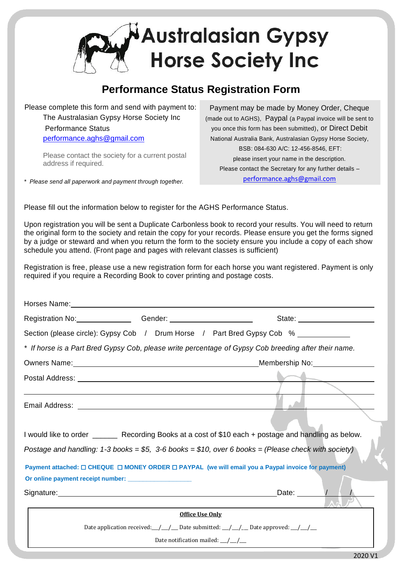

## **Performance Status Registration Form**

Please complete this form and send with payment to: The Australasian Gypsy Horse Society Inc Performance Status [performance.aghs@gmail.com](mailto:performance.aghs@gmail.com)

> Please contact the society for a current postal address if required.

*\* Please send all paperwork and payment through together.*

Payment may be made by Money Order, Cheque (made out to AGHS), Paypal (a Paypal invoice will be sent to you once this form has been submitted), or Direct Debit National Australia Bank, Australasian Gypsy Horse Society, BSB: 084-630 A/C: 12-456-8546, EFT: please insert your name in the description. Please contact the Secretary for any further details – [performance.aghs@gmail.com](mailto:performance.aghs@gmail.com)

Please fill out the information below to register for the AGHS Performance Status.

Upon registration you will be sent a Duplicate Carbonless book to record your results. You will need to return the original form to the society and retain the copy for your records. Please ensure you get the forms signed by a judge or steward and when you return the form to the society ensure you include a copy of each show schedule you attend. (Front page and pages with relevant classes is sufficient)

Registration is free, please use a new registration form for each horse you want registered. Payment is only required if you require a Recording Book to cover printing and postage costs.

| Registration No: Change Conder: Conder: Conder: Conder: Conder: Conder: Conder: Conder: Conder: Conder: Conder                                                                                                                       | State: ______________________                                                                                                                                                                                                                                                                                                                                                                                                      |  |
|--------------------------------------------------------------------------------------------------------------------------------------------------------------------------------------------------------------------------------------|------------------------------------------------------------------------------------------------------------------------------------------------------------------------------------------------------------------------------------------------------------------------------------------------------------------------------------------------------------------------------------------------------------------------------------|--|
| Section (please circle): Gypsy Cob / Drum Horse / Part Bred Gypsy Cob % _________                                                                                                                                                    |                                                                                                                                                                                                                                                                                                                                                                                                                                    |  |
| * If horse is a Part Bred Gypsy Cob, please write percentage of Gypsy Cob breeding after their name.                                                                                                                                 |                                                                                                                                                                                                                                                                                                                                                                                                                                    |  |
|                                                                                                                                                                                                                                      |                                                                                                                                                                                                                                                                                                                                                                                                                                    |  |
|                                                                                                                                                                                                                                      |                                                                                                                                                                                                                                                                                                                                                                                                                                    |  |
|                                                                                                                                                                                                                                      |                                                                                                                                                                                                                                                                                                                                                                                                                                    |  |
|                                                                                                                                                                                                                                      |                                                                                                                                                                                                                                                                                                                                                                                                                                    |  |
|                                                                                                                                                                                                                                      |                                                                                                                                                                                                                                                                                                                                                                                                                                    |  |
| I would like to order ________ Recording Books at a cost of \$10 each + postage and handling as below.<br>Postage and handling: 1-3 books = $$5, 3$ -6 books = $$10$ , over 6 books = (Please check with society)                    |                                                                                                                                                                                                                                                                                                                                                                                                                                    |  |
| Payment attached: □ CHEQUE □ MONEY ORDER □ PAYPAL (we will email you a Paypal invoice for payment)                                                                                                                                   |                                                                                                                                                                                                                                                                                                                                                                                                                                    |  |
| Or online payment receipt number: ___________________                                                                                                                                                                                |                                                                                                                                                                                                                                                                                                                                                                                                                                    |  |
| Signature: <u>contract and contract and contract and contract and contract and contract and contract and contract and contract and contract and contract and contract and contract and contract and contract and contract and co</u> | Date: $\sqrt{1 + \sqrt{1 + \frac{1}{2}} \sqrt{1 + \frac{1}{2}} \sqrt{1 + \frac{1}{2}} \sqrt{1 + \frac{1}{2}} \sqrt{1 + \frac{1}{2}} \sqrt{1 + \frac{1}{2}} \sqrt{1 + \frac{1}{2}} \sqrt{1 + \frac{1}{2}} \sqrt{1 + \frac{1}{2}} \sqrt{1 + \frac{1}{2}} \sqrt{1 + \frac{1}{2}} \sqrt{1 + \frac{1}{2}} \sqrt{1 + \frac{1}{2}} \sqrt{1 + \frac{1}{2}} \sqrt{1 + \frac{1}{2}} \sqrt{1 + \frac{1}{2}} \sqrt{1 + \frac{1}{2}} \sqrt{1 +$ |  |
| Office Use Only                                                                                                                                                                                                                      |                                                                                                                                                                                                                                                                                                                                                                                                                                    |  |
| Date application received: $\frac{1}{\frac{1}{2}}$ Date submitted: $\frac{1}{\frac{1}{2}}$ Date approved: $\frac{1}{\frac{1}{2}}$                                                                                                    |                                                                                                                                                                                                                                                                                                                                                                                                                                    |  |